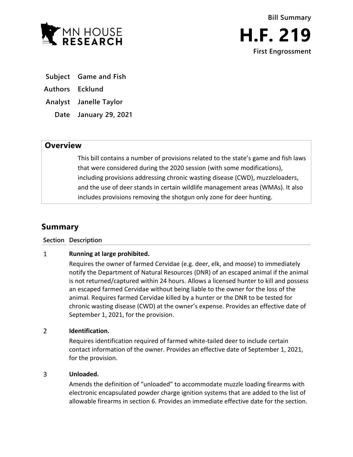

- **Subject Game and Fish**
- **Authors Ecklund**
- **Analyst Janelle Taylor**
	- **Date January 29, 2021**

## **Overview**

This bill contains a number of provisions related to the state's game and fish laws that were considered during the 2020 session (with some modifications), including provisions addressing chronic wasting disease (CWD), muzzleloaders, and the use of deer stands in certain wildlife management areas (WMAs). It also includes provisions removing the shotgun only zone for deer hunting.

# **Summary**

### **Section Description**

### $\mathbf{1}$ **Running at large prohibited.**

Requires the owner of farmed Cervidae (e.g. deer, elk, and moose) to immediately notify the Department of Natural Resources (DNR) of an escaped animal if the animal is not returned/captured within 24 hours. Allows a licensed hunter to kill and possess an escaped farmed Cervidae without being liable to the owner for the loss of the animal. Requires farmed Cervidae killed by a hunter or the DNR to be tested for chronic wasting disease (CWD) at the owner's expense. Provides an effective date of September 1, 2021, for the provision.

### $\overline{2}$ **Identification.**

Requires identification required of farmed white-tailed deer to include certain contact information of the owner. Provides an effective date of September 1, 2021, for the provision.

### 3 **Unloaded.**

Amends the definition of "unloaded" to accommodate muzzle loading firearms with electronic encapsulated powder charge ignition systems that are added to the list of allowable firearms in section 6. Provides an immediate effective date for the section.